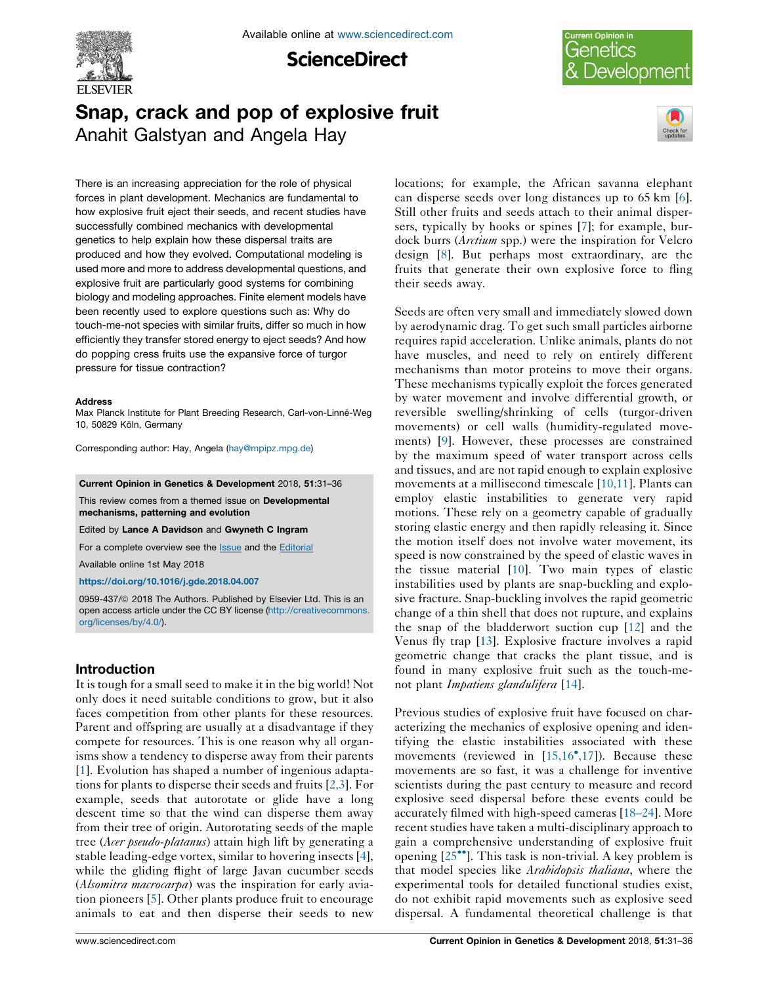

**ScienceDirect** 

# Current Opinion in Genetics Development

# Snap, crack and pop of explosive fruit Anahit Galstyan and Angela Hay



There is an increasing appreciation for the role of physical forces in plant development. Mechanics are fundamental to how explosive fruit eject their seeds, and recent studies have successfully combined mechanics with developmental genetics to help explain how these dispersal traits are produced and how they evolved. Computational modeling is used more and more to address developmental questions, and explosive fruit are particularly good systems for combining biology and modeling approaches. Finite element models have been recently used to explore questions such as: Why do touch-me-not species with similar fruits, differ so much in how efficiently they transfer stored energy to eject seeds? And how do popping cress fruits use the expansive force of turgor pressure for tissue contraction?

#### **Address**

Max Planck Institute for Plant Breeding Research, Carl-von-Linné-Weg 10, 50829 Köln, Germany

Corresponding author: Hay, Angela [\(hay@mpipz.mpg.de\)](mailto:hay@mpipz.mpg.de)

Current Opinion in Genetics & Development 2018, 51:31–36

This review comes from a themed issue on Developmental mechanisms, patterning and evolution

Edited by Lance A Davidson and Gwyneth C Ingram

For a complete overview see the Issue [and the](http://www.sciencedirect.com/science/journal/0959437X/51) [Editorial](http://dx.doi.org/10.1016/j.gde.2018.11.001)

Available online 1st May 2018

[https://doi.org/10.1016/j.gde.2018.04.007](http://dx.doi.org/10.1016/j.gde.2018.04.007)

0959-437/© 2018 The Authors. Published by Elsevier Ltd. This is an open access article under the CC BY license [\(http://creativecommons.](http://creativecommons.org/licenses/by/4.0/) [org/licenses/by/4.0/](http://creativecommons.org/licenses/by/4.0/)).

## Introduction

It is tough for a small seed to make it in the big world! Not only does it need suitable conditions to grow, but it also faces competition from other plants for these resources. Parent and offspring are usually at a disadvantage if they compete for resources. This is one reason why all organisms show a tendency to disperse away from their parents [\[1](#page-4-0)]. Evolution has shaped a number of ingenious adaptations for plants to disperse their seeds and fruits [[2,3](#page-4-0)]. For example, seeds that autorotate or glide have a long descent time so that the wind can disperse them away from their tree of origin. Autorotating seeds of the maple tree (*Acer pseudo-platanus*) attain high lift by generating a stable leading-edge vortex, similar to hovering insects [\[4](#page-4-0)], while the gliding flight of large Javan cucumber seeds (*Alsomitra macrocarpa*) was the inspiration for early aviation pioneers [[5\]](#page-4-0). Other plants produce fruit to encourage animals to eat and then disperse their seeds to new

locations; for example, the African savanna elephant can disperse seeds over long distances up to 65 km [[6\]](#page-4-0). Still other fruits and seeds attach to their animal dispersers, typically by hooks or spines [[7\]](#page-4-0); for example, burdock burrs (*Arctium* spp.) were the inspiration for Velcro design [\[8](#page-4-0)]. But perhaps most extraordinary, are the fruits that generate their own explosive force to fling their seeds away.

Seeds are often very small and immediately slowed down by aerodynamic drag. To get such small particles airborne requires rapid acceleration. Unlike animals, plants do not have muscles, and need to rely on entirely different mechanisms than motor proteins to move their organs. These mechanisms typically exploit the forces generated by water movement and involve differential growth, or reversible swelling/shrinking of cells (turgor-driven movements) or cell walls (humidity-regulated movements) [\[9](#page-4-0)]. However, these processes are constrained by the maximum speed of water transport across cells and tissues, and are not rapid enough to explain explosive movements at a millisecond timescale [[10,11](#page-4-0)]. Plants can employ elastic instabilities to generate very rapid motions. These rely on a geometry capable of gradually storing elastic energy and then rapidly releasing it. Since the motion itself does not involve water movement, its speed is now constrained by the speed of elastic waves in the tissue material [[10\]](#page-4-0). Two main types of elastic instabilities used by plants are snap-buckling and explosive fracture. Snap-buckling involves the rapid geometric change of a thin shell that does not rupture, and explains the snap of the bladderwort suction cup [\[12](#page-4-0)] and the Venus fly trap [\[13\]](#page-4-0). Explosive fracture involves a rapid geometric change that cracks the plant tissue, and is found in many explosive fruit such as the touch-menot plant Impatiens glandulifera [[14\]](#page-4-0).

Previous studies of explosive fruit have focused on characterizing the mechanics of explosive opening and identifying the elastic instabilities associated with these movements (reviewed in  $[15, 16^\bullet, 17]$ ). Because these movements are so fast, it was a challenge for inventive scientists during the past century to measure and record explosive seed dispersal before these events could be accurately filmed with high-speed cameras [[18–24\]](#page-4-0). More recent studies have taken a multi-disciplinary approach to gain a comprehensive understanding of explosive fruit opening  $[25\text{°}^{\bullet}]$ . This task is non-trivial. A key problem is that model species like Arabidopsis thaliana, where the experimental tools for detailed functional studies exist, do not exhibit rapid movements such as explosive seed dispersal. A fundamental theoretical challenge is that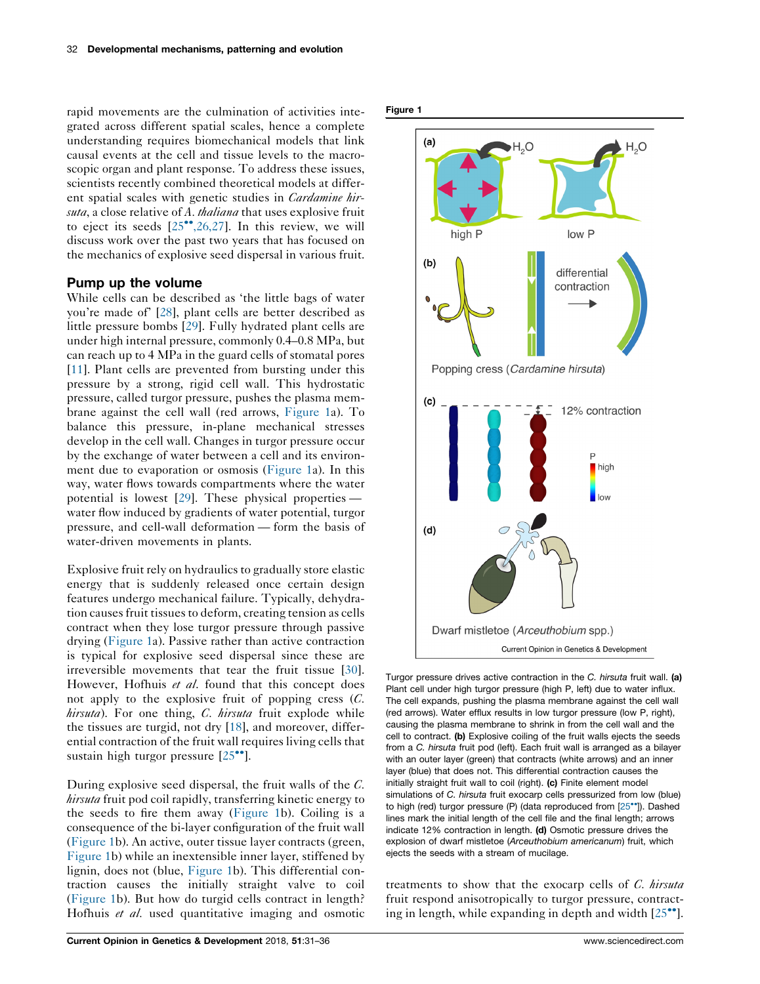<span id="page-1-0"></span>rapid movements are the culmination of activities integrated across different spatial scales, hence a complete understanding requires biomechanical models that link causal events at the cell and tissue levels to the macroscopic organ and plant response. To address these issues, scientists recently combined theoretical models at different spatial scales with genetic studies in Cardamine hirsuta, a close relative of A. thaliana that uses explosive fruit to eject its seeds  $[25^{\bullet\bullet}, 26, 27]$ . In this review, we will discuss work over the past two years that has focused on the mechanics of explosive seed dispersal in various fruit.

#### Pump up the volume

While cells can be described as 'the little bags of water you're made of' [[28\]](#page-4-0), plant cells are better described as little pressure bombs [[29\]](#page-4-0). Fully hydrated plant cells are under high internal pressure, commonly 0.4–0.8 MPa, but can reach up to 4 MPa in the guard cells of stomatal pores [\[11](#page-4-0)]. Plant cells are prevented from bursting under this pressure by a strong, rigid cell wall. This hydrostatic pressure, called turgor pressure, pushes the plasma membrane against the cell wall (red arrows, Figure 1a). To balance this pressure, in-plane mechanical stresses develop in the cell wall. Changes in turgor pressure occur by the exchange of water between a cell and its environment due to evaporation or osmosis (Figure 1a). In this way, water flows towards compartments where the water potential is lowest [[29\]](#page-4-0). These physical properties water flow induced by gradients of water potential, turgor pressure, and cell-wall deformation — form the basis of water-driven movements in plants.

Explosive fruit rely on hydraulics to gradually store elastic energy that is suddenly released once certain design features undergo mechanical failure. Typically, dehydration causes fruit tissues to deform, creating tension as cells contract when they lose turgor pressure through passive drying (Figure 1a). Passive rather than active contraction is typical for explosive seed dispersal since these are irreversible movements that tear the fruit tissue [\[30](#page-5-0)]. However, Hofhuis et al. found that this concept does not apply to the explosive fruit of popping cress (C.  $hirsuta$ ). For one thing, C. hirsuta fruit explode while the tissues are turgid, not dry [\[18](#page-4-0)], and moreover, differential contraction of the fruit wall requires living cells that sustain high turgor pressure  $[25$ <sup>\*\*</sup>].

During explosive seed dispersal, the fruit walls of the C. hirsuta fruit pod coil rapidly, transferring kinetic energy to the seeds to fire them away (Figure 1b). Coiling is a consequence of the bi-layer configuration of the fruit wall (Figure 1b). An active, outer tissue layer contracts (green, Figure 1b) while an inextensible inner layer, stiffened by lignin, does not (blue, Figure 1b). This differential contraction causes the initially straight valve to coil (Figure 1b). But how do turgid cells contract in length? Hofhuis et al. used quantitative imaging and osmotic





Turgor pressure drives active contraction in the C. hirsuta fruit wall. (a) Plant cell under high turgor pressure (high P, left) due to water influx. The cell expands, pushing the plasma membrane against the cell wall (red arrows). Water efflux results in low turgor pressure (low P, right), causing the plasma membrane to shrink in from the cell wall and the cell to contract. (b) Explosive coiling of the fruit walls ejects the seeds from a C. hirsuta fruit pod (left). Each fruit wall is arranged as a bilayer with an outer layer (green) that contracts (white arrows) and an inner layer (blue) that does not. This differential contraction causes the initially straight fruit wall to coil (right). (c) Finite element model simulations of C. hirsuta fruit exocarp cells pressurized from low (blue) to high (red) turgor pressure (P) (data reproduced from  $[25\text{''}$ ). Dashed lines mark the initial length of the cell file and the final length; arrows indicate 12% contraction in length. (d) Osmotic pressure drives the explosion of dwarf mistletoe (Arceuthobium americanum) fruit, which ejects the seeds with a stream of mucilage.

treatments to show that the exocarp cells of C. hirsuta fruit respond anisotropically to turgor pressure, contracting in length, while expanding in depth and width  $[25\text{°}$  $[25\text{°}$ .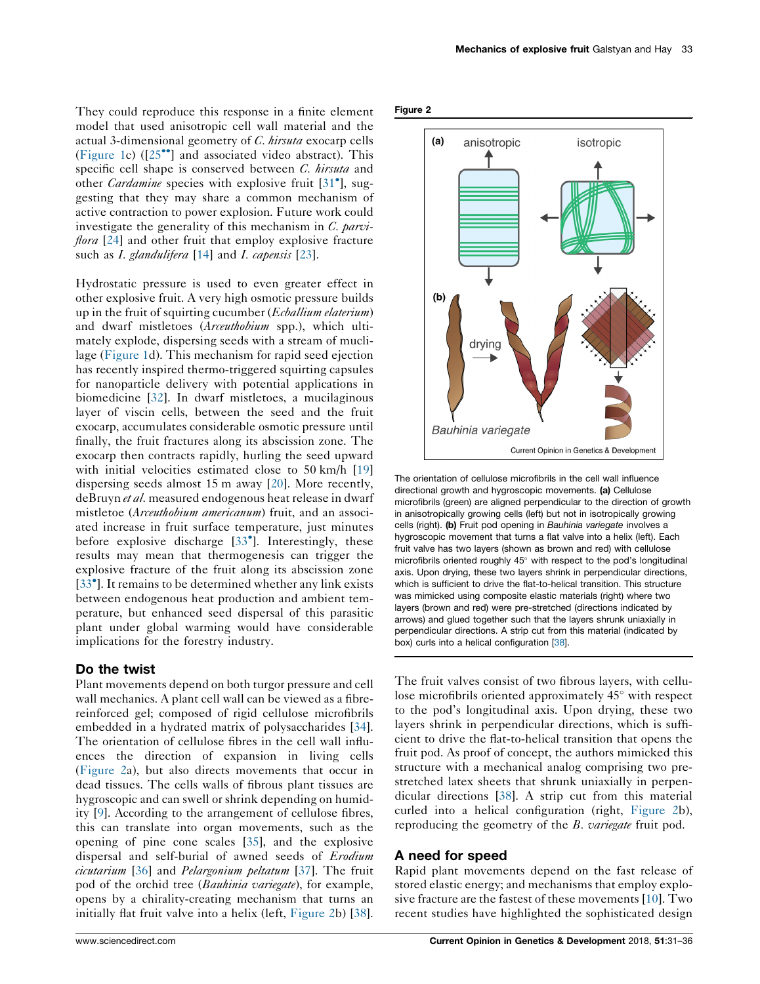They could reproduce this response in a finite element model that used anisotropic cell wall material and the actual 3-dimensional geometry of C. hirsuta exocarp cells [\(Figure 1c](#page-1-0))  $(25\degree)$  and associated video abstract). This specific cell shape is conserved between *C. hirsuta* and other *Cardamine* species with explosive fruit [31<sup>°</sup>[\], sug](#page-5-0)gesting that they may share a common mechanism of active contraction to power explosion. Future work could investigate the generality of this mechanism in  $C$ , parvi*flora*  $[24]$  $[24]$  and other fruit that employ explosive fracture such as *I. glandulifera* [[14\]](#page-4-0) and *I. capensis* [[23\]](#page-4-0).

Hydrostatic pressure is used to even greater effect in other explosive fruit. A very high osmotic pressure builds up in the fruit of squirting cucumber (*Ecballium elaterium*) and dwarf mistletoes (Arceuthobium spp.), which ultimately explode, dispersing seeds with a stream of muclilage [\(Figure 1d](#page-1-0)). This mechanism for rapid seed ejection has recently inspired thermo-triggered squirting capsules for nanoparticle delivery with potential applications in biomedicine [[32\]](#page-5-0). In dwarf mistletoes, a mucilaginous layer of viscin cells, between the seed and the fruit exocarp, accumulates considerable osmotic pressure until finally, the fruit fractures along its abscission zone. The exocarp then contracts rapidly, hurling the seed upward with initial velocities estimated close to 50 km/h [[19\]](#page-4-0) dispersing seeds almost 15 m away [\[20](#page-4-0)]. More recently, deBruyn *et al*. measured endogenous heat release in dwarf mistletoe (Arceuthobium americanum) fruit, and an associated increase in fruit surface temperature, just minutes before explosive discharge [33 [\]. Interestingly, these](#page-5-0) results may mean that thermogenesis can trigger the explosive fracture of the fruit along its abscission zone [33<sup>\*</sup>[\]. It remains to be determined whether any link exists](#page-5-0) between endogenous heat production and ambient temperature, but enhanced seed dispersal of this parasitic plant under global warming would have considerable implications for the forestry industry.

#### Do the twist

Plant movements depend on both turgor pressure and cell wall mechanics. A plant cell wall can be viewed as a fibrereinforced gel; composed of rigid cellulose microfibrils embedded in a hydrated matrix of polysaccharides [\[34](#page-5-0)]. The orientation of cellulose fibres in the cell wall influences the direction of expansion in living cells (Figure 2a), but also directs movements that occur in dead tissues. The cells walls of fibrous plant tissues are hygroscopic and can swell or shrink depending on humidity [[9\]](#page-4-0). According to the arrangement of cellulose fibres, this can translate into organ movements, such as the opening of pine cone scales [[35\]](#page-5-0), and the explosive dispersal and self-burial of awned seeds of Erodium cicutarium [\[36](#page-5-0)] and Pelargonium peltatum [[37\]](#page-5-0). The fruit pod of the orchid tree (Bauhinia variegate), for example, opens by a chirality-creating mechanism that turns an initially flat fruit valve into a helix (left, Figure 2b) [\[38](#page-5-0)].





The orientation of cellulose microfibrils in the cell wall influence directional growth and hygroscopic movements. (a) Cellulose microfibrils (green) are aligned perpendicular to the direction of growth in anisotropically growing cells (left) but not in isotropically growing cells (right). (b) Fruit pod opening in Bauhinia variegate involves a hygroscopic movement that turns a flat valve into a helix (left). Each fruit valve has two layers (shown as brown and red) with cellulose microfibrils oriented roughly 45° with respect to the pod's longitudinal axis. Upon drying, these two layers shrink in perpendicular directions, which is sufficient to drive the flat-to-helical transition. This structure was mimicked using composite elastic materials (right) where two layers (brown and red) were pre-stretched (directions indicated by arrows) and glued together such that the layers shrunk uniaxially in perpendicular directions. A strip cut from this material (indicated by box) curls into a helical configuration [[38](#page-5-0)].

The fruit valves consist of two fibrous layers, with cellulose microfibrils oriented approximately  $45^{\circ}$  with respect to the pod's longitudinal axis. Upon drying, these two layers shrink in perpendicular directions, which is sufficient to drive the flat-to-helical transition that opens the fruit pod. As proof of concept, the authors mimicked this structure with a mechanical analog comprising two prestretched latex sheets that shrunk uniaxially in perpendicular directions [\[38](#page-5-0)]. A strip cut from this material curled into a helical configuration (right, Figure 2b), reproducing the geometry of the B. variegate fruit pod.

#### A need for speed

Rapid plant movements depend on the fast release of stored elastic energy; and mechanisms that employ explosive fracture are the fastest of these movements [[10\]](#page-4-0). Two recent studies have highlighted the sophisticated design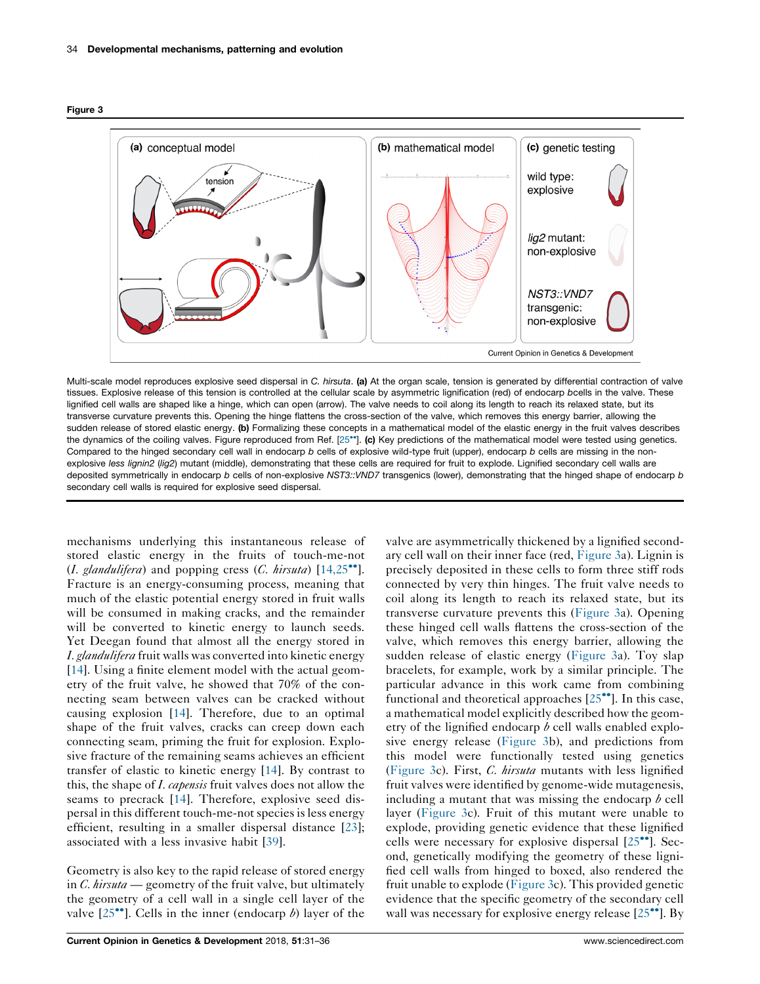



Multi-scale model reproduces explosive seed dispersal in C. hirsuta. (a) At the organ scale, tension is generated by differential contraction of valve tissues. Explosive release of this tension is controlled at the cellular scale by asymmetric lignification (red) of endocarp bcells in the valve. These lignified cell walls are shaped like a hinge, which can open (arrow). The valve needs to coil along its length to reach its relaxed state, but its transverse curvature prevents this. Opening the hinge flattens the cross-section of the valve, which removes this energy barrier, allowing the sudden release of stored elastic energy. (b) Formalizing these concepts in a mathematical model of the elastic energy in the fruit valves describes the dynamics of the coiling valves. Figure reproduced from Ref. [25\*\*]. (c) [Key predictions of the mathematical model were tested using genetics.](#page-4-0) Compared to the hinged secondary cell wall in endocarp b cells of explosive wild-type fruit (upper), endocarp b cells are missing in the nonexplosive less lignin2 (lig2) mutant (middle), demonstrating that these cells are required for fruit to explode. Lignified secondary cell walls are deposited symmetrically in endocarp b cells of non-explosive NST3::VND7 transgenics (lower), demonstrating that the hinged shape of endocarp b secondary cell walls is required for explosive seed dispersal.

mechanisms underlying this instantaneous release of stored elastic energy in the fruits of touch-me-not (I. glandulifera) and popping cress (C. hirsuta)  $[14,25\degree]$  $[14,25\degree]$ . Fracture is an energy-consuming process, meaning that much of the elastic potential energy stored in fruit walls will be consumed in making cracks, and the remainder will be converted to kinetic energy to launch seeds. Yet Deegan found that almost all the energy stored in I. glandulifera fruit walls was converted into kinetic energy [\[14](#page-4-0)]. Using a finite element model with the actual geometry of the fruit valve, he showed that 70% of the connecting seam between valves can be cracked without causing explosion [[14\]](#page-4-0). Therefore, due to an optimal shape of the fruit valves, cracks can creep down each connecting seam, priming the fruit for explosion. Explosive fracture of the remaining seams achieves an efficient transfer of elastic to kinetic energy [[14\]](#page-4-0). By contrast to this, the shape of *I. capensis* fruit valves does not allow the seams to precrack [\[14](#page-4-0)]. Therefore, explosive seed dispersal in this different touch-me-not species is less energy efficient, resulting in a smaller dispersal distance [\[23](#page-4-0)]; associated with a less invasive habit [[39\]](#page-5-0).

Geometry is also key to the rapid release of stored energy in C. hirsuta — geometry of the fruit valve, but ultimately the geometry of a cell wall in a single cell layer of the valve  $[25^{\bullet\bullet}]$ . Cells in the inner (endocarp b) layer of the

ary cell wall on their inner face (red, Figure 3a). Lignin is precisely deposited in these cells to form three stiff rods connected by very thin hinges. The fruit valve needs to coil along its length to reach its relaxed state, but its transverse curvature prevents this (Figure 3a). Opening these hinged cell walls flattens the cross-section of the valve, which removes this energy barrier, allowing the sudden release of elastic energy (Figure 3a). Toy slap bracelets, for example, work by a similar principle. The particular advance in this work came from combining functional and theoretical approaches  $[25\bullet]$ . In this case, a mathematical model explicitly described how the geometry of the lignified endocarp  $\delta$  cell walls enabled explosive energy release (Figure 3b), and predictions from this model were functionally tested using genetics (Figure 3c). First, C. hirsuta mutants with less lignified fruit valves were identified by genome-wide mutagenesis, including a mutant that was missing the endocarp  $\phi$  cell layer (Figure 3c). Fruit of this mutant were unable to explode, providing genetic evidence that these lignified cells were necessary for explosive dispersal  $[25\degree]$ . Second, genetically modifying the geometry of these lignified cell walls from hinged to boxed, also rendered the fruit unable to explode (Figure 3c). This provided genetic evidence that the specific geometry of the secondary cell wall was necessary for explosive energy release  $[25\text{''}]$ . By

valve are asymmetrically thickened by a lignified second-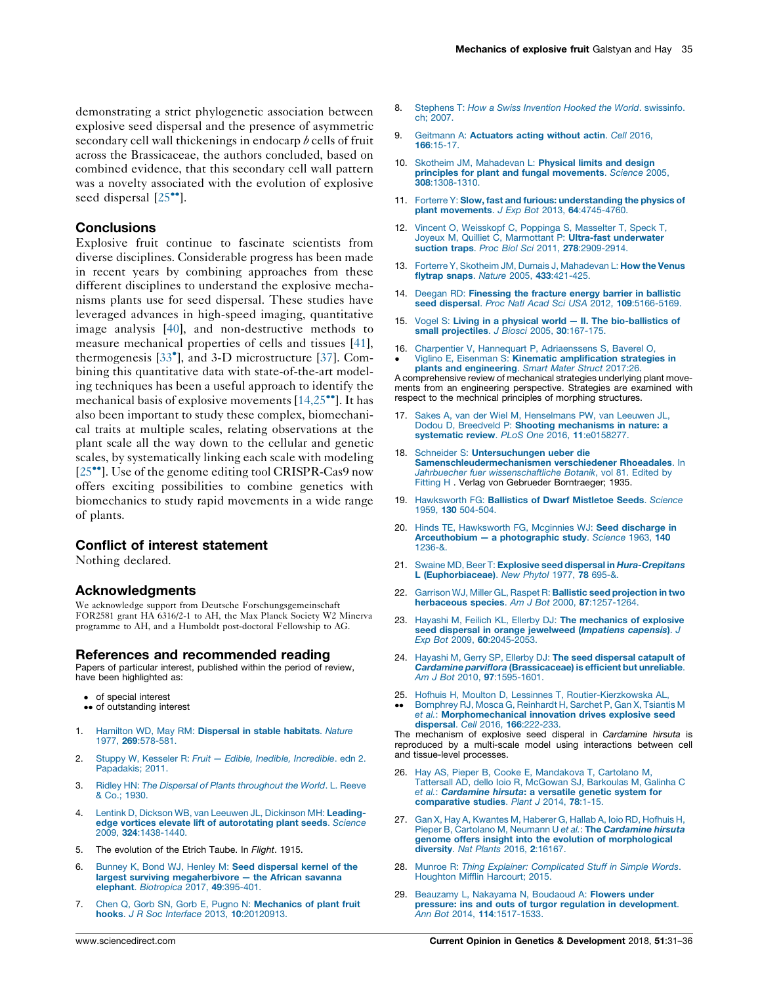<span id="page-4-0"></span>demonstrating a strict phylogenetic association between explosive seed dispersal and the presence of asymmetric secondary cell wall thickenings in endocarp  $\phi$  cells of fruit across the Brassicaceae, the authors concluded, based on combined evidence, that this secondary cell wall pattern was a novelty associated with the evolution of explosive seed dispersal  $[25$ <sup> $\degree$ </sup>].

### **Conclusions**

Explosive fruit continue to fascinate scientists from diverse disciplines. Considerable progress has been made in recent years by combining approaches from these different disciplines to understand the explosive mechanisms plants use for seed dispersal. These studies have leveraged advances in high-speed imaging, quantitative image analysis [[40\]](#page-5-0), and non-destructive methods to measure mechanical properties of cells and tissues [\[41](#page-5-0)], thermogenesis [33 [\], and 3-D microstructure \[37](#page-5-0)]. Combining this quantitative data with state-of-the-art modeling techniques has been a useful approach to identify the mechanical basis of explosive movements  $[14,25\degree]$ . It has also been important to study these complex, biomechanical traits at multiple scales, relating observations at the plant scale all the way down to the cellular and genetic scales, by systematically linking each scale with modeling  $[25\degree]$ . Use of the genome editing tool CRISPR-Cas9 now offers exciting possibilities to combine genetics with biomechanics to study rapid movements in a wide range of plants.

### Conflict of interest statement

Nothing declared.

#### Acknowledgments

We acknowledge support from Deutsche Forschungsgemeinschaft FOR2581 grant HA 6316/2-1 to AH, the Max Planck Society W2 Minerva programme to AH, and a Humboldt post-doctoral Fellowship to AG.

#### References and recommended reading

Papers of particular interest, published within the period of review, have been highlighted as:

- of special interest
- •• of outstanding interest
- 1. Hamilton WD, May RM: [Dispersal in stable habitats](http://refhub.elsevier.com/S0959-437X(18)30011-X/sbref0210). Nature 1977, 269[:578-581.](http://refhub.elsevier.com/S0959-437X(18)30011-X/sbref0210)
- 2. Stuppy W, Kesseler R: Fruit Edible, Inedible, Incredible. edn 2. [Papadakis; 2011.](http://refhub.elsevier.com/S0959-437X(18)30011-X/sbref0215)
- 3. Ridley HN: [The Dispersal of Plants throughout the World](http://refhub.elsevier.com/S0959-437X(18)30011-X/sbref0220). L. Reeve [& Co.; 1930.](http://refhub.elsevier.com/S0959-437X(18)30011-X/sbref0220)
- 4. [Lentink D, Dickson WB, van Leeuwen JL, Dickinson MH:](http://refhub.elsevier.com/S0959-437X(18)30011-X/sbref0225) Leading[edge vortices elevate lift of autorotating plant seeds](http://refhub.elsevier.com/S0959-437X(18)30011-X/sbref0225). Science 2009, 324[:1438-1440.](http://refhub.elsevier.com/S0959-437X(18)30011-X/sbref0225)
- 5. The evolution of the Etrich Taube. In Flight. 1915.
- 6. [Bunney K, Bond WJ, Henley M:](http://refhub.elsevier.com/S0959-437X(18)30011-X/sbref0235) Seed dispersal kernel of the [largest surviving megaherbivore the African savanna](http://refhub.elsevier.com/S0959-437X(18)30011-X/sbref0235) elephant. [Biotropica](http://refhub.elsevier.com/S0959-437X(18)30011-X/sbref0235) 2017, 49:395-401.
- 7. [Chen Q, Gorb SN, Gorb E, Pugno N:](http://refhub.elsevier.com/S0959-437X(18)30011-X/sbref0240) Mechanics of plant fruit hooks. [J R Soc Interface](http://refhub.elsevier.com/S0959-437X(18)30011-X/sbref0240) 2013, 10:20120913.
- 8. Stephens T: [How a Swiss Invention Hooked the World](http://refhub.elsevier.com/S0959-437X(18)30011-X/sbref0245). swissinfo. [ch; 2007.](http://refhub.elsevier.com/S0959-437X(18)30011-X/sbref0245)
- 9. Geitmann A: [Actuators acting without actin](http://refhub.elsevier.com/S0959-437X(18)30011-X/sbref0250). Cell 2016, 166[:15-17.](http://refhub.elsevier.com/S0959-437X(18)30011-X/sbref0250)
- 10. [Skotheim JM, Mahadevan L:](http://refhub.elsevier.com/S0959-437X(18)30011-X/sbref0255) Physical limits and design [principles for plant and fungal movements](http://refhub.elsevier.com/S0959-437X(18)30011-X/sbref0255). Science 2005, 308[:1308-1310.](http://refhub.elsevier.com/S0959-437X(18)30011-X/sbref0255)
- 11. Forterre Y: [Slow, fast and furious: understanding the physics of](http://refhub.elsevier.com/S0959-437X(18)30011-X/sbref0260) [plant movements](http://refhub.elsevier.com/S0959-437X(18)30011-X/sbref0260). J Exp Bot 2013, 64:4745-4760.
- 12. [Vincent O, Weisskopf C, Poppinga S, Masselter T, Speck T,](http://refhub.elsevier.com/S0959-437X(18)30011-X/sbref0265) [Joyeux M, Quilliet C, Marmottant P:](http://refhub.elsevier.com/S0959-437X(18)30011-X/sbref0265) Ultra-fast underwater [suction traps](http://refhub.elsevier.com/S0959-437X(18)30011-X/sbref0265). Proc Biol Sci 2011, 278:2909-2914.
- 13. [Forterre Y, Skotheim JM, Dumais J, Mahadevan L:](http://refhub.elsevier.com/S0959-437X(18)30011-X/sbref0270) How the Venus [flytrap snaps](http://refhub.elsevier.com/S0959-437X(18)30011-X/sbref0270). Nature 2005, 433:421-425.
- 14. Deegan RD: [Finessing the fracture energy barrier in ballistic](http://refhub.elsevier.com/S0959-437X(18)30011-X/sbref0275) seed dispersal. [Proc Natl Acad Sci USA](http://refhub.elsevier.com/S0959-437X(18)30011-X/sbref0275) 2012, 109:5166-5169.
- 15. Vogel S: [Living in a physical world II. The bio-ballistics of](http://refhub.elsevier.com/S0959-437X(18)30011-X/sbref0280) [small projectiles](http://refhub.elsevier.com/S0959-437X(18)30011-X/sbref0280). J Biosci 2005, 30:167-175.
- 16.  $\bullet$ [Charpentier V, Hannequart P, Adriaenssens S, Baverel O,](http://refhub.elsevier.com/S0959-437X(18)30011-X/sbref0285) Viglino E, Eisenman S: [Kinematic amplification strategies in](http://refhub.elsevier.com/S0959-437X(18)30011-X/sbref0285)

[plants and engineering](http://refhub.elsevier.com/S0959-437X(18)30011-X/sbref0285). Smart Mater Struct 2017:26. A comprehensive review of mechanical strategies underlying plant movements from an engineering perspective. Strategies are examined with respect to the mechnical principles of morphing structures.

- 17. [Sakes A, van der Wiel M, Henselmans PW, van Leeuwen JL,](http://refhub.elsevier.com/S0959-437X(18)30011-X/sbref0290) Dodou D, Breedveld P: [Shooting mechanisms in nature: a](http://refhub.elsevier.com/S0959-437X(18)30011-X/sbref0290) [systematic review](http://refhub.elsevier.com/S0959-437X(18)30011-X/sbref0290). PLoS One 2016, 11:e0158277.
- 18. Schneider S: [Untersuchungen ueber die](http://refhub.elsevier.com/S0959-437X(18)30011-X/sbref0295) [Samenschleudermechanismen verschiedener Rhoeadales](http://refhub.elsevier.com/S0959-437X(18)30011-X/sbref0295). In [Jahrbuecher fuer wissenschaftliche Botanik](http://refhub.elsevier.com/S0959-437X(18)30011-X/sbref0295), vol 81. Edited by [Fitting H](http://refhub.elsevier.com/S0959-437X(18)30011-X/sbref0295) . Verlag von Gebrueder Borntraeger; 1935.
- 19. Hawksworth FG: [Ballistics of Dwarf Mistletoe Seeds](http://refhub.elsevier.com/S0959-437X(18)30011-X/sbref0300). Science 1959, 130 [504-504.](http://refhub.elsevier.com/S0959-437X(18)30011-X/sbref0300)
- 20. [Hinds TE, Hawksworth FG, Mcginnies WJ:](http://refhub.elsevier.com/S0959-437X(18)30011-X/sbref0305) Seed discharge in [Arceuthobium — a photographic study](http://refhub.elsevier.com/S0959-437X(18)30011-X/sbref0305). Science 1963, 140 [1236-&.](http://refhub.elsevier.com/S0959-437X(18)30011-X/sbref0305)
- 21. Swaine MD, Beer T: [Explosive seed dispersal in](http://refhub.elsevier.com/S0959-437X(18)30011-X/sbref0310) *Hura-Crepitans*<br> [L \(Euphorbiaceae\)](http://refhub.elsevier.com/S0959-437X(18)30011-X/sbref0310). New Phytol 1977, 78 695-&.
- 22. [Garrison WJ, Miller GL, Raspet R:](http://refhub.elsevier.com/S0959-437X(18)30011-X/sbref0315) Ballistic seed projection in two [herbaceous species](http://refhub.elsevier.com/S0959-437X(18)30011-X/sbref0315). Am J Bot 2000, 87:1257-1264
- 23. [Hayashi M, Feilich KL, Ellerby DJ:](http://refhub.elsevier.com/S0959-437X(18)30011-X/sbref0320) The mechanics of explosive [seed dispersal in orange jewelweed \(](http://refhub.elsevier.com/S0959-437X(18)30011-X/sbref0320)Impatiens capensis). J Exp Bot 2009, 60[:2045-2053.](http://refhub.elsevier.com/S0959-437X(18)30011-X/sbref0320)
- 24. [Hayashi M, Gerry SP, Ellerby DJ:](http://refhub.elsevier.com/S0959-437X(18)30011-X/sbref0325) The seed dispersal catapult of Cardamine parviflora [\(Brassicaceae\) is efficient but unreliable](http://refhub.elsevier.com/S0959-437X(18)30011-X/sbref0325). Am J Bot 2010, 97[:1595-1601.](http://refhub.elsevier.com/S0959-437X(18)30011-X/sbref0325)
- 25. [Hofhuis H, Moulton D, Lessinnes T, Routier-Kierzkowska AL,](http://refhub.elsevier.com/S0959-437X(18)30011-X/sbref0330)  $\ddot{\phantom{0}}$ [Bomphrey RJ, Mosca G, Reinhardt H, Sarchet P, Gan X, Tsiantis M](http://refhub.elsevier.com/S0959-437X(18)30011-X/sbref0330) et al.: [Morphomechanical innovation drives explosive seed](http://refhub.elsevier.com/S0959-437X(18)30011-X/sbref0330) [dispersal](http://refhub.elsevier.com/S0959-437X(18)30011-X/sbref0330). Cell 2016, 166:222-233.

The mechanism of explosive seed disperal in Cardamine hirsuta is reproduced by a multi-scale model using interactions between cell and tissue-level processes.

- 26. [Hay AS, Pieper B, Cooke E, Mandakova T, Cartolano M,](http://refhub.elsevier.com/S0959-437X(18)30011-X/sbref0335) [Tattersall AD, dello Ioio R, McGowan SJ, Barkoulas M, Galinha C](http://refhub.elsevier.com/S0959-437X(18)30011-X/sbref0335) et al.: Cardamine hirsuta[: a versatile genetic system for](http://refhub.elsevier.com/S0959-437X(18)30011-X/sbref0335) [comparative studies](http://refhub.elsevier.com/S0959-437X(18)30011-X/sbref0335). Plant J 2014, 78:1-15.
- 27. [Gan X, Hay A, Kwantes M, Haberer G, Hallab A, Ioio RD, Hofhuis H,](http://refhub.elsevier.com/S0959-437X(18)30011-X/sbref0340) [Pieper B, Cartolano M, Neumann U](http://refhub.elsevier.com/S0959-437X(18)30011-X/sbref0340) et al.: The Cardamine hirsuta [genome offers insight into the evolution of morphological](http://refhub.elsevier.com/S0959-437X(18)30011-X/sbref0340) diversity. [Nat Plants](http://refhub.elsevier.com/S0959-437X(18)30011-X/sbref0340) 2016, 2:16167.
- 28. Munroe R: [Thing Explainer: Complicated Stuff in Simple Words](http://refhub.elsevier.com/S0959-437X(18)30011-X/sbref0345). [Houghton Mifflin Harcourt; 2015.](http://refhub.elsevier.com/S0959-437X(18)30011-X/sbref0345)
- 29. [Beauzamy L, Nakayama N, Boudaoud A:](http://refhub.elsevier.com/S0959-437X(18)30011-X/sbref0350) Flowers under [pressure: ins and outs of turgor regulation in development](http://refhub.elsevier.com/S0959-437X(18)30011-X/sbref0350). Ann Bot 2014, 114[:1517-1533.](http://refhub.elsevier.com/S0959-437X(18)30011-X/sbref0350)